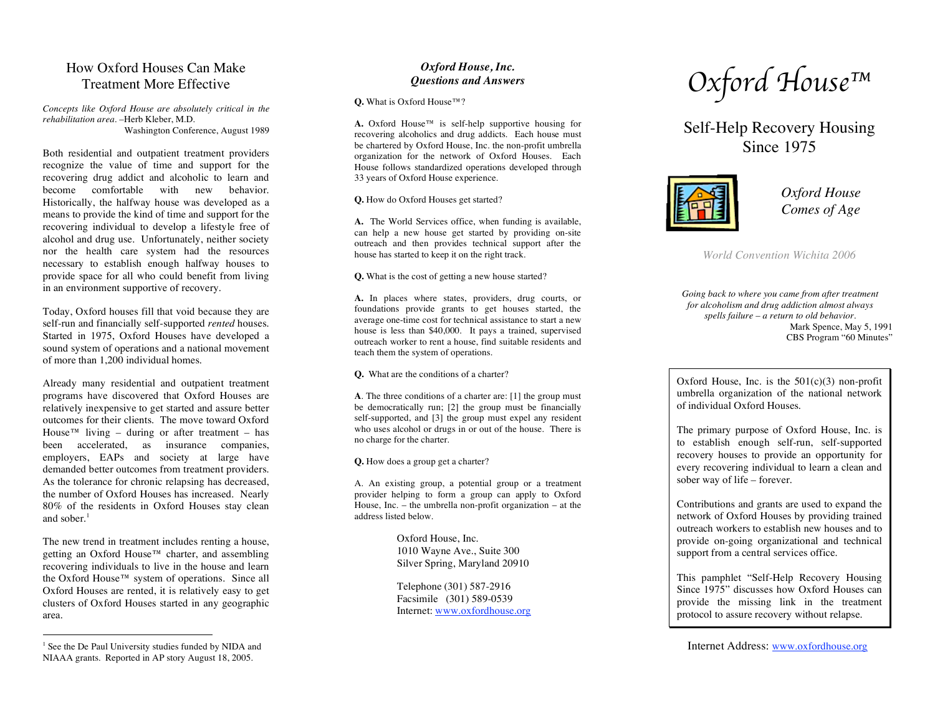# How Oxford Hous e s C an M ake Treatment More Effective

Concepts like Oxford House are absolutely critical in the *rehabilitation area.* –Herb Kleber, M.D. Washington Conference, August 1989

Both residential and outpatient treatment providers recognize the value of time and support for the recovering drug addict and alcoholic to learn and become comfortable with new behavior. Historically, the halfway house was developed as a means to provide the kind of time and support for the recovering individual to develop a lifestyle free of alcohol and drug use. Unfortunately, neither society nor the health care system had the resources necessary to establish enough halfway houses to provide space for all who could benefit from living in an environment supportive of recovery.

Today, Oxford houses fill that void because they are self-run and financially self-supported rented houses. Started in 1975, Oxford Houses have developed a sound system of operations and a national movement of more than 1,200 individual homes.

Already many residential and outpatient treatment programs have discovered that Oxford Houses are relatively inexpensive to get started and assure better outcomes for their clients. The move toward Oxford House<sup>TM</sup> living – during or after treatment – has been accelerated, as insurance companies, employers, EAPs and society at large have demanded better outcomes from treatment providers. As the tolerance for chronic relapsing has decreased, the number of Oxford Houses has increased. Nearly 80% of the residents in Oxford Houses stay clean and sober.<sup>1</sup>

The new trend in treatment includes renting a house, getting an Oxford House™ charter, and assembling recovering individuals to live in the house and learn the Oxford House™ system of operations. Since all Oxford Houses are rented, it is relatively easy to get clusters of Oxford Houses started in any geographic ar e a .

## *O xfo rd H o u s e , In c . Q u e s ti o n s a n d A n s w e rs*

 $Q$ . What is Oxford House  $TM$  ?

 $\bf{A}$ . Oxford House<sup>TM</sup> is self-help supportive housing for recovering alcoholics and drug addicts. Each house must be chartered by Oxford House, Inc. the non-profit umbrella organization for the network of Oxford Houses. Each House follows standardized operations developed through 33 years of Oxford House experience.

**Q.** How do Oxford Houses get started?

A. The World Services office, when funding is available, can help a new house get started by providing on-site outreach and then provides technical support after the house has started to keep it on the right track.

**Q**. What is the cost of getting a new house started?

A. In places where states, providers, drug courts, or foundations provide grants to get houses started, the average one-time cost for technical assistance to start a new house is less than \$40,000. It pays a trained, supervised outreach worker to rent a house, find suitable residents and teach them the system of operations.

**Q**. What are the conditions of a charter?

**A**. The three conditions of a charter are: [1] the group must be democratically run; [2] the group must be financially self-supported, and [3] the group must expel any resident who uses alcohol or drugs in or out of the house. There is n o c h arg e for t h e c h art er.

**Q.** How does a group get a charter?

A. An existing group, a potential group or a treatment provider helping to form a group can apply to Oxford House, Inc. - the umbrella non-profit organization - at the address listed below.

> Oxford House, Inc. 1010 Wayne Ave., Suite 300 Silver Spring, Maryland 20910

Telephone (301) 587-2916 Facsimile (301) 589-0539 Internet: www.oxfordhouse.org

*O xfo rd Ho u s e ™*

Self-Help Recovery Housing S inc e 1975



*Oxford Hous e Com e s of Age*

*World Convention Wichita 2006* 

Going back to where you came from after treatment for alcoholism and drug addiction almost always spells failure – a return to old behavior. Mark Spence, May 5, 1991 CBS Program "60 Minutes"

Oxford House, Inc. is the  $501(c)(3)$  non-profit umbrella organization of the national network of individual Oxford Houses.

The primary purpose of Oxford House, Inc. is to establish enough self-run, self-supported recovery houses to provide an opportunity for every recovering individual to learn a clean and sober way of life – forever.

Contributions and grants are used to expand the network of Oxford Houses by providing trained outreach workers to establish new houses and to provide on-going organizational and technical support from a central services office.

This pamphlet "Self-Help Recovery Housing Since 1975" discusses how Oxford Houses can provide the missing link in the treatment protocol to assure recovery without relapse.

<sup>&</sup>lt;sup>1</sup> See the De Paul University studies funded by NIDA and NIAAA grants. Reported in AP story August 18, 2005.